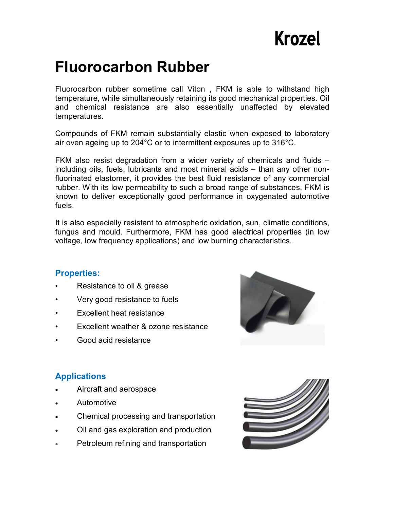# **Krozel**

## **Fluorocarbon Rubber**

Fluorocarbon rubber sometime call Viton , FKM is able to withstand high temperature, while simultaneously retaining its good mechanical properties. Oil and chemical resistance are also essentially unaffected by elevated temperatures.

Compounds of FKM remain substantially elastic when exposed to laboratory air oven ageing up to 204°C or to intermittent exposures up to 316°C.

FKM also resist degradation from a wider variety of chemicals and fluids – including oils, fuels, lubricants and most mineral acids – than any other nonfluorinated elastomer, it provides the best fluid resistance of any commercial rubber. With its low permeability to such a broad range of substances, FKM is known to deliver exceptionally good performance in oxygenated automotive fuels.

It is also especially resistant to atmospheric oxidation, sun, climatic conditions, fungus and mould. Furthermore, FKM has good electrical properties (in low voltage, low frequency applications) and low burning characteristics..

#### **Properties:**

- Resistance to oil & grease
- Very good resistance to fuels
- Excellent heat resistance
- Excellent weather & ozone resistance
- Good acid resistance



#### **Applications**

- Aircraft and aerospace
- Automotive
- Chemical processing and transportation
- Oil and gas exploration and production
- Petroleum refining and transportation